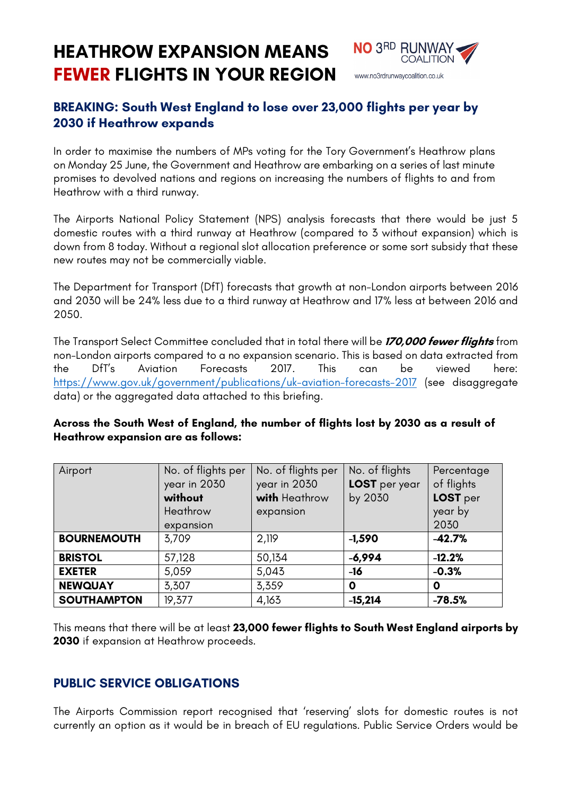**HEATHROW EXPANSION MEANS FEWER FLIGHTS IN YOUR REGION**



# **BREAKING: South West England to lose over 23,000 flights per year by 2030 if Heathrow expands**

In order to maximise the numbers of MPs voting for the Tory Government's Heathrow plans on Monday 25 June, the Government and Heathrow are embarking on a series of last minute promises to devolved nations and regions on increasing the numbers of flights to and from Heathrow with a third runway.

The Airports National Policy Statement (NPS) analysis forecasts that there would be just 5 domestic routes with a third runway at Heathrow (compared to 3 without expansion) which is down from 8 today. Without a regional slot allocation preference or some sort subsidy that these new routes may not be commercially viable.

The Department for Transport (DfT) forecasts that growth at non-London airports between 2016 and 2030 will be 24% less due to a third runway at Heathrow and 17% less at between 2016 and 2050.

The Transport Select Committee concluded that in total there will be **170,000 fewer flights** from non-London airports compared to a no expansion scenario. This is based on data extracted from the DfT's Aviation Forecasts 2017. This can be viewed here: https://www.gov.uk/government/publications/uk-aviation-forecasts-2017 (see disaggregate data) or the aggregated data attached to this briefing.

| Airport            | No. of flights per<br>year in 2030<br>without<br>Heathrow<br>expansion | No. of flights per<br>year in 2030<br>with Heathrow<br>expansion | No. of flights<br>LOST per year<br>by 2030 | Percentage<br>of flights<br>LOST per<br>year by<br>2030 |
|--------------------|------------------------------------------------------------------------|------------------------------------------------------------------|--------------------------------------------|---------------------------------------------------------|
| <b>BOURNEMOUTH</b> | 3,709                                                                  | 2,119                                                            | $-1,590$                                   | $-42.7%$                                                |
| <b>BRISTOL</b>     | 57,128                                                                 | 50,134                                                           | $-6,994$                                   | $-12.2%$                                                |
| <b>EXETER</b>      | 5,059                                                                  | 5,043                                                            | $-16$                                      | $-0.3%$                                                 |
| <b>NEWQUAY</b>     | 3,307                                                                  | 3,359                                                            | 0                                          | O                                                       |
| <b>SOUTHAMPTON</b> | 19,377                                                                 | 4,163                                                            | $-15,214$                                  | $-78.5%$                                                |

#### **Across the South West of England, the number of flights lost by 2030 as a result of Heathrow expansion are as follows:**

This means that there will be at least **23,000 fewer flights to South West England airports by 2030** if expansion at Heathrow proceeds.

## **PUBLIC SERVICE OBLIGATIONS**

The Airports Commission report recognised that 'reserving' slots for domestic routes is not currently an option as it would be in breach of EU regulations. Public Service Orders would be